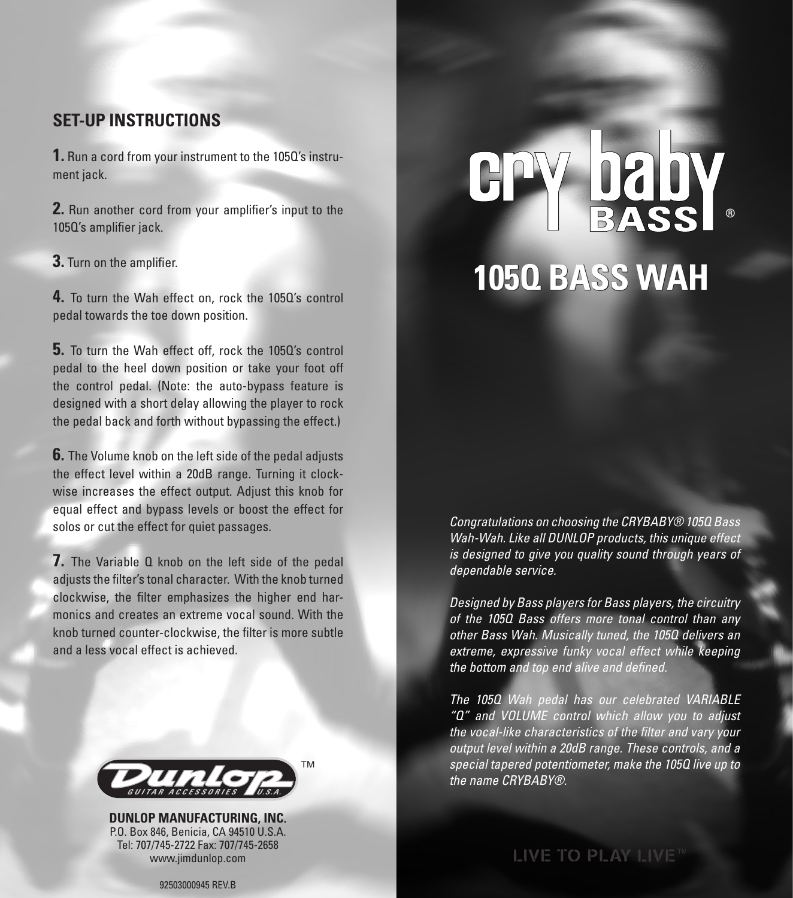### **SET-UP INSTRUCTIONS**

**1.** Run a cord from your instrument to the 105Q's instrument jack.

**2.** Run another cord from your amplifier's input to the 105Q's amplifier jack.

**3.** Turn on the amplifier.

**4.** To turn the Wah effect on, rock the 105Q's control pedal towards the toe down position.

**5.** To turn the Wah effect off, rock the 105Q's control pedal to the heel down position or take your foot off the control pedal. (Note: the auto-bypass feature is designed with a short delay allowing the player to rock the pedal back and forth without bypassing the effect.)

**6.** The Volume knob on the left side of the pedal adjusts the effect level within a 20dB range. Turning it clockwise increases the effect output. Adjust this knob for equal effect and bypass levels or boost the effect for solos or cut the effect for quiet passages.

**7.** The Variable Q knob on the left side of the pedal adjusts the filter's tonal character. With the knob turned clockwise, the filter emphasizes the higher end harmonics and creates an extreme vocal sound. With the knob turned counter-clockwise, the filter is more subtle and a less vocal effect is achieved.



**DUNLOP MANUFACTURING, INC.** P.O. Box 846, Benicia, CA 94510 U.S.A. Tel: 707/745-2722 Fax: 707/745-2658 www.jimdunlop.com

# **105Q BASS WAH** ®

Congratulations on choosing the CRYBABY® 105Q Bass Wah-Wah. Like all DUNLOP products, this unique effect is designed to give you quality sound through years of dependable service.

Designed by Bass players for Bass players, the circuitry of the 1050 Bass offers more tonal control than any other Bass Wah. Musically tuned, the 105Q delivers an extreme, expressive funky vocal effect while keeping the bottom and top end alive and defined.

The 105Q Wah pedal has our celebrated VARIABLE "Q" and VOLUME control which allow you to adjust the vocal-like characteristics of the filter and vary your output level within a 20dB range. These controls, and a special tapered potentiometer, make the 105Q live up to the name CRYBABY®.

**LIVE TO PLAY LIVE™** 

92503000945 REV.B